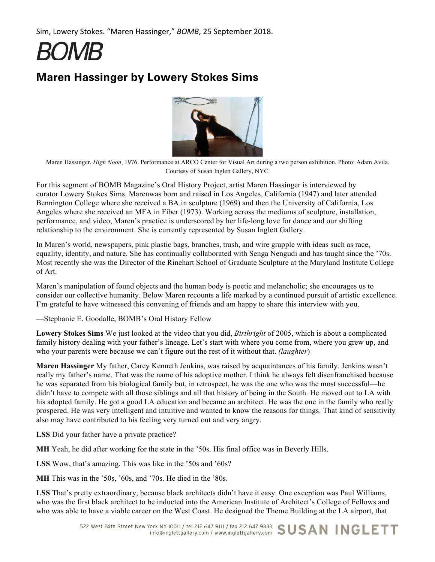**BOMB** 

# **Maren Hassinger by Lowery Stokes Sims**



Maren Hassinger, *High Noon*, 1976. Performance at ARCO Center for Visual Art during a two person exhibition. Photo: Adam Avila. Courtesy of Susan Inglett Gallery, NYC.

For this segment of BOMB Magazine's Oral History Project, artist Maren Hassinger is interviewed by curator Lowery Stokes Sims. Marenwas born and raised in Los Angeles, California (1947) and later attended Bennington College where she received a BA in sculpture (1969) and then the University of California, Los Angeles where she received an MFA in Fiber (1973). Working across the mediums of sculpture, installation, performance, and video, Maren's practice is underscored by her life-long love for dance and our shifting relationship to the environment. She is currently represented by Susan Inglett Gallery.

In Maren's world, newspapers, pink plastic bags, branches, trash, and wire grapple with ideas such as race, equality, identity, and nature. She has continually collaborated with Senga Nengudi and has taught since the '70s. Most recently she was the Director of the Rinehart School of Graduate Sculpture at the Maryland Institute College of Art.

Maren's manipulation of found objects and the human body is poetic and melancholic; she encourages us to consider our collective humanity. Below Maren recounts a life marked by a continued pursuit of artistic excellence. I'm grateful to have witnessed this convening of friends and am happy to share this interview with you.

—Stephanie E. Goodalle, BOMB's Oral History Fellow

**Lowery Stokes Sims** We just looked at the video that you did, *Birthright* of 2005, which is about a complicated family history dealing with your father's lineage. Let's start with where you come from, where you grew up, and who your parents were because we can't figure out the rest of it without that. *(laughter*)

**Maren Hassinger** My father, Carey Kenneth Jenkins, was raised by acquaintances of his family. Jenkins wasn't really my father's name. That was the name of his adoptive mother. I think he always felt disenfranchised because he was separated from his biological family but, in retrospect, he was the one who was the most successful—he didn't have to compete with all those siblings and all that history of being in the South. He moved out to LA with his adopted family. He got a good LA education and became an architect. He was the one in the family who really prospered. He was very intelligent and intuitive and wanted to know the reasons for things. That kind of sensitivity also may have contributed to his feeling very turned out and very angry.

**LSS** Did your father have a private practice?

**MH** Yeah, he did after working for the state in the '50s. His final office was in Beverly Hills.

**LSS** Wow, that's amazing. This was like in the '50s and '60s?

**MH** This was in the '50s, '60s, and '70s. He died in the '80s.

**LSS** That's pretty extraordinary, because black architects didn't have it easy. One exception was Paul Williams, who was the first black architect to be inducted into the American Institute of Architect's College of Fellows and who was able to have a viable career on the West Coast. He designed the Theme Building at the LA airport, that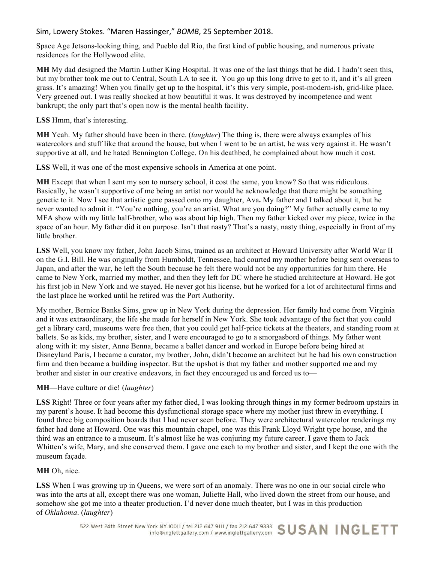Space Age Jetsons-looking thing, and Pueblo del Rio, the first kind of public housing, and numerous private residences for the Hollywood elite.

**MH** My dad designed the Martin Luther King Hospital. It was one of the last things that he did. I hadn't seen this, but my brother took me out to Central, South LA to see it. You go up this long drive to get to it, and it's all green grass. It's amazing! When you finally get up to the hospital, it's this very simple, post-modern-ish, grid-like place. Very greened out. I was really shocked at how beautiful it was. It was destroyed by incompetence and went bankrupt; the only part that's open now is the mental health facility.

**LSS** Hmm, that's interesting.

**MH** Yeah. My father should have been in there. (*laughter*) The thing is, there were always examples of his watercolors and stuff like that around the house, but when I went to be an artist, he was very against it. He wasn't supportive at all, and he hated Bennington College. On his deathbed, he complained about how much it cost.

**LSS** Well, it was one of the most expensive schools in America at one point.

**MH** Except that when I sent my son to nursery school, it cost the same, you know? So that was ridiculous. Basically, he wasn't supportive of me being an artist nor would he acknowledge that there might be something genetic to it. Now I see that artistic gene passed onto my daughter, Ava**.** My father and I talked about it, but he never wanted to admit it. "You're nothing, you're an artist. What are you doing?" My father actually came to my MFA show with my little half-brother, who was about hip high. Then my father kicked over my piece, twice in the space of an hour. My father did it on purpose. Isn't that nasty? That's a nasty, nasty thing, especially in front of my little brother.

**LSS** Well, you know my father, John Jacob Sims, trained as an architect at Howard University after World War II on the G.I. Bill. He was originally from Humboldt, Tennessee, had courted my mother before being sent overseas to Japan, and after the war, he left the South because he felt there would not be any opportunities for him there. He came to New York, married my mother, and then they left for DC where he studied architecture at Howard. He got his first job in New York and we stayed. He never got his license, but he worked for a lot of architectural firms and the last place he worked until he retired was the Port Authority.

My mother, Bernice Banks Sims, grew up in New York during the depression. Her family had come from Virginia and it was extraordinary, the life she made for herself in New York. She took advantage of the fact that you could get a library card, museums were free then, that you could get half-price tickets at the theaters, and standing room at ballets. So as kids, my brother, sister, and I were encouraged to go to a smorgasbord of things. My father went along with it: my sister, Anne Benna, became a ballet dancer and worked in Europe before being hired at Disneyland Paris, I became a curator, my brother, John, didn't become an architect but he had his own construction firm and then became a building inspector. But the upshot is that my father and mother supported me and my brother and sister in our creative endeavors, in fact they encouraged us and forced us to—

# **MH**—Have culture or die! (*laughter*)

**LSS** Right! Three or four years after my father died, I was looking through things in my former bedroom upstairs in my parent's house. It had become this dysfunctional storage space where my mother just threw in everything. I found three big composition boards that I had never seen before. They were architectural watercolor renderings my father had done at Howard. One was this mountain chapel, one was this Frank Lloyd Wright type house, and the third was an entrance to a museum. It's almost like he was conjuring my future career. I gave them to Jack Whitten's wife, Mary, and she conserved them. I gave one each to my brother and sister, and I kept the one with the museum façade.

# **MH** Oh, nice.

LSS When I was growing up in Queens, we were sort of an anomaly. There was no one in our social circle who was into the arts at all, except there was one woman, Juliette Hall, who lived down the street from our house, and somehow she got me into a theater production. I'd never done much theater, but I was in this production of *Oklahoma*. (*laughter*)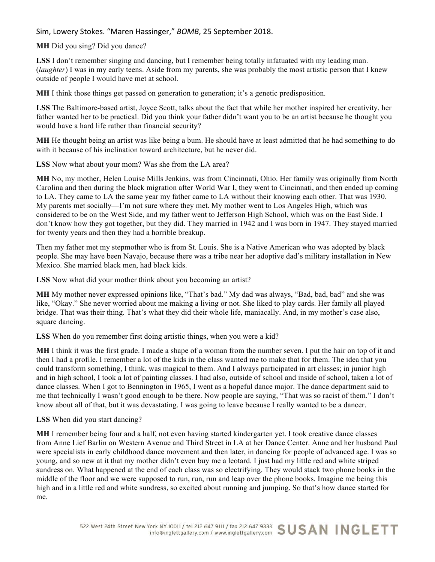**MH** Did you sing? Did you dance?

**LSS** I don't remember singing and dancing, but I remember being totally infatuated with my leading man. (*laughter*) I was in my early teens. Aside from my parents, she was probably the most artistic person that I knew outside of people I would have met at school.

**MH** I think those things get passed on generation to generation; it's a genetic predisposition.

**LSS** The Baltimore-based artist, Joyce Scott, talks about the fact that while her mother inspired her creativity, her father wanted her to be practical. Did you think your father didn't want you to be an artist because he thought you would have a hard life rather than financial security?

**MH** He thought being an artist was like being a bum. He should have at least admitted that he had something to do with it because of his inclination toward architecture, but he never did.

**LSS** Now what about your mom? Was she from the LA area?

**MH** No, my mother, Helen Louise Mills Jenkins, was from Cincinnati, Ohio. Her family was originally from North Carolina and then during the black migration after World War I, they went to Cincinnati, and then ended up coming to LA. They came to LA the same year my father came to LA without their knowing each other. That was 1930. My parents met socially—I'm not sure where they met. My mother went to Los Angeles High, which was considered to be on the West Side, and my father went to Jefferson High School, which was on the East Side. I don't know how they got together, but they did. They married in 1942 and I was born in 1947. They stayed married for twenty years and then they had a horrible breakup.

Then my father met my stepmother who is from St. Louis. She is a Native American who was adopted by black people. She may have been Navajo, because there was a tribe near her adoptive dad's military installation in New Mexico. She married black men, had black kids.

**LSS** Now what did your mother think about you becoming an artist?

**MH** My mother never expressed opinions like, "That's bad." My dad was always, "Bad, bad, bad" and she was like, "Okay." She never worried about me making a living or not. She liked to play cards. Her family all played bridge. That was their thing. That's what they did their whole life, maniacally. And, in my mother's case also, square dancing.

**LSS** When do you remember first doing artistic things, when you were a kid?

**MH** I think it was the first grade. I made a shape of a woman from the number seven. I put the hair on top of it and then I had a profile. I remember a lot of the kids in the class wanted me to make that for them. The idea that you could transform something, I think, was magical to them. And I always participated in art classes; in junior high and in high school, I took a lot of painting classes. I had also, outside of school and inside of school, taken a lot of dance classes. When I got to Bennington in 1965, I went as a hopeful dance major. The dance department said to me that technically I wasn't good enough to be there. Now people are saying, "That was so racist of them." I don't know about all of that, but it was devastating. I was going to leave because I really wanted to be a dancer.

**LSS** When did you start dancing?

**MH** I remember being four and a half, not even having started kindergarten yet. I took creative dance classes from Anne Lief Barlin on Western Avenue and Third Street in LA at her Dance Center. Anne and her husband Paul were specialists in early childhood dance movement and then later, in dancing for people of advanced age. I was so young, and so new at it that my mother didn't even buy me a leotard. I just had my little red and white striped sundress on. What happened at the end of each class was so electrifying. They would stack two phone books in the middle of the floor and we were supposed to run, run, run and leap over the phone books. Imagine me being this high and in a little red and white sundress, so excited about running and jumping. So that's how dance started for me.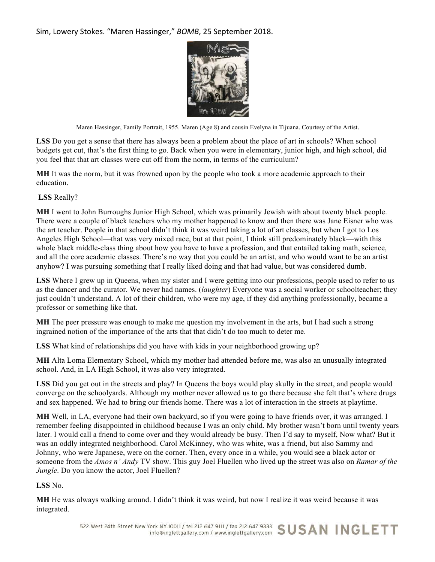

Maren Hassinger, Family Portrait, 1955. Maren (Age 8) and cousin Evelyna in Tijuana. Courtesy of the Artist.

LSS Do you get a sense that there has always been a problem about the place of art in schools? When school budgets get cut, that's the first thing to go. Back when you were in elementary, junior high, and high school, did you feel that that art classes were cut off from the norm, in terms of the curriculum?

**MH** It was the norm, but it was frowned upon by the people who took a more academic approach to their education.

**LSS** Really?

**MH** I went to John Burroughs Junior High School, which was primarily Jewish with about twenty black people. There were a couple of black teachers who my mother happened to know and then there was Jane Eisner who was the art teacher. People in that school didn't think it was weird taking a lot of art classes, but when I got to Los Angeles High School—that was very mixed race, but at that point, I think still predominately black—with this whole black middle-class thing about how you have to have a profession, and that entailed taking math, science, and all the core academic classes. There's no way that you could be an artist, and who would want to be an artist anyhow? I was pursuing something that I really liked doing and that had value, but was considered dumb.

LSS Where I grew up in Queens, when my sister and I were getting into our professions, people used to refer to us as the dancer and the curator. We never had names. (*laughter*) Everyone was a social worker or schoolteacher; they just couldn't understand. A lot of their children, who were my age, if they did anything professionally, became a professor or something like that.

**MH** The peer pressure was enough to make me question my involvement in the arts, but I had such a strong ingrained notion of the importance of the arts that that didn't do too much to deter me.

**LSS** What kind of relationships did you have with kids in your neighborhood growing up?

**MH** Alta Loma Elementary School, which my mother had attended before me, was also an unusually integrated school. And, in LA High School, it was also very integrated.

LSS Did you get out in the streets and play? In Queens the boys would play skully in the street, and people would converge on the schoolyards. Although my mother never allowed us to go there because she felt that's where drugs and sex happened. We had to bring our friends home. There was a lot of interaction in the streets at playtime.

**MH** Well, in LA, everyone had their own backyard, so if you were going to have friends over, it was arranged. I remember feeling disappointed in childhood because I was an only child. My brother wasn't born until twenty years later. I would call a friend to come over and they would already be busy. Then I'd say to myself, Now what? But it was an oddly integrated neighborhood. Carol McKinney, who was white, was a friend, but also Sammy and Johnny, who were Japanese, were on the corner. Then, every once in a while, you would see a black actor or someone from the *Amos n' Andy* TV show. This guy Joel Fluellen who lived up the street was also on *Ramar of the Jungle*. Do you know the actor, Joel Fluellen?

**LSS** No.

**MH** He was always walking around. I didn't think it was weird, but now I realize it was weird because it was integrated.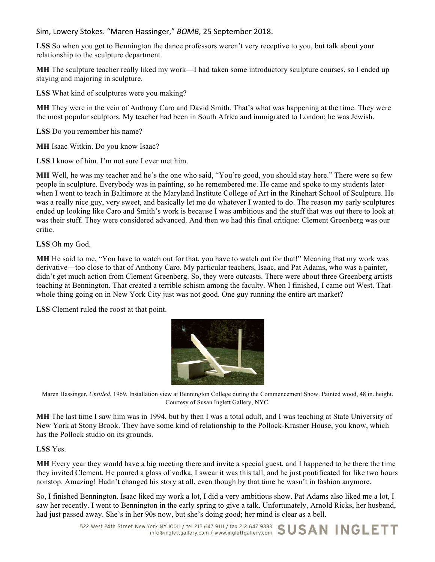LSS So when you got to Bennington the dance professors weren't very receptive to you, but talk about your relationship to the sculpture department.

**MH** The sculpture teacher really liked my work—I had taken some introductory sculpture courses, so I ended up staying and majoring in sculpture.

**LSS** What kind of sculptures were you making?

**MH** They were in the vein of Anthony Caro and David Smith. That's what was happening at the time. They were the most popular sculptors. My teacher had been in South Africa and immigrated to London; he was Jewish.

**LSS** Do you remember his name?

**MH** Isaac Witkin. Do you know Isaac?

**LSS** I know of him. I'm not sure I ever met him.

**MH** Well, he was my teacher and he's the one who said, "You're good, you should stay here." There were so few people in sculpture. Everybody was in painting, so he remembered me. He came and spoke to my students later when I went to teach in Baltimore at the Maryland Institute College of Art in the Rinehart School of Sculpture. He was a really nice guy, very sweet, and basically let me do whatever I wanted to do. The reason my early sculptures ended up looking like Caro and Smith's work is because I was ambitious and the stuff that was out there to look at was their stuff. They were considered advanced. And then we had this final critique: Clement Greenberg was our critic.

**LSS** Oh my God.

**MH** He said to me, "You have to watch out for that, you have to watch out for that!" Meaning that my work was derivative—too close to that of Anthony Caro. My particular teachers, Isaac, and Pat Adams, who was a painter, didn't get much action from Clement Greenberg. So, they were outcasts. There were about three Greenberg artists teaching at Bennington. That created a terrible schism among the faculty. When I finished, I came out West. That whole thing going on in New York City just was not good. One guy running the entire art market?

**LSS** Clement ruled the roost at that point.



Maren Hassinger, *Untitled*, 1969, Installation view at Bennington College during the Commencement Show. Painted wood, 48 in. height. Courtesy of Susan Inglett Gallery, NYC.

**MH** The last time I saw him was in 1994, but by then I was a total adult, and I was teaching at State University of New York at Stony Brook. They have some kind of relationship to the Pollock-Krasner House, you know, which has the Pollock studio on its grounds.

**LSS** Yes.

**MH** Every year they would have a big meeting there and invite a special guest, and I happened to be there the time they invited Clement. He poured a glass of vodka, I swear it was this tall, and he just pontificated for like two hours nonstop. Amazing! Hadn't changed his story at all, even though by that time he wasn't in fashion anymore.

So, I finished Bennington. Isaac liked my work a lot, I did a very ambitious show. Pat Adams also liked me a lot, I saw her recently. I went to Bennington in the early spring to give a talk. Unfortunately, Arnold Ricks, her husband, had just passed away. She's in her 90s now, but she's doing good; her mind is clear as a bell.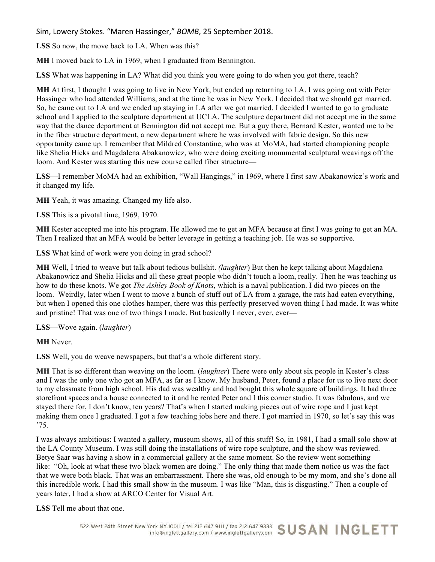**LSS** So now, the move back to LA. When was this?

**MH** I moved back to LA in 1969, when I graduated from Bennington.

**LSS** What was happening in LA? What did you think you were going to do when you got there, teach?

**MH** At first, I thought I was going to live in New York, but ended up returning to LA. I was going out with Peter Hassinger who had attended Williams, and at the time he was in New York. I decided that we should get married. So, he came out to LA and we ended up staying in LA after we got married. I decided I wanted to go to graduate school and I applied to the sculpture department at UCLA. The sculpture department did not accept me in the same way that the dance department at Bennington did not accept me. But a guy there, Bernard Kester, wanted me to be in the fiber structure department, a new department where he was involved with fabric design. So this new opportunity came up. I remember that Mildred Constantine, who was at MoMA, had started championing people like Shelia Hicks and Magdalena Abakanowicz, who were doing exciting monumental sculptural weavings off the loom. And Kester was starting this new course called fiber structure—

**LSS**—I remember MoMA had an exhibition, "Wall Hangings," in 1969, where I first saw Abakanowicz's work and it changed my life.

**MH** Yeah, it was amazing. Changed my life also.

**LSS** This is a pivotal time, 1969, 1970.

**MH** Kester accepted me into his program. He allowed me to get an MFA because at first I was going to get an MA. Then I realized that an MFA would be better leverage in getting a teaching job. He was so supportive.

**LSS** What kind of work were you doing in grad school?

**MH** Well, I tried to weave but talk about tedious bullshit. *(laughter*) But then he kept talking about Magdalena Abakanowicz and Shelia Hicks and all these great people who didn't touch a loom, really. Then he was teaching us how to do these knots. We got *The Ashley Book of Knots*, which is a naval publication. I did two pieces on the loom. Weirdly, later when I went to move a bunch of stuff out of LA from a garage, the rats had eaten everything, but when I opened this one clothes hamper, there was this perfectly preserved woven thing I had made. It was white and pristine! That was one of two things I made. But basically I never, ever, ever—

## **LSS**—Wove again. (*laughter*)

**MH** Never.

**LSS** Well, you do weave newspapers, but that's a whole different story.

**MH** That is so different than weaving on the loom. (*laughter*) There were only about six people in Kester's class and I was the only one who got an MFA, as far as I know. My husband, Peter, found a place for us to live next door to my classmate from high school. His dad was wealthy and had bought this whole square of buildings. It had three storefront spaces and a house connected to it and he rented Peter and I this corner studio. It was fabulous, and we stayed there for, I don't know, ten years? That's when I started making pieces out of wire rope and I just kept making them once I graduated. I got a few teaching jobs here and there. I got married in 1970, so let's say this was '75.

I was always ambitious: I wanted a gallery, museum shows, all of this stuff! So, in 1981, I had a small solo show at the LA County Museum. I was still doing the installations of wire rope sculpture, and the show was reviewed. Betye Saar was having a show in a commercial gallery at the same moment. So the review went something like: "Oh, look at what these two black women are doing." The only thing that made them notice us was the fact that we were both black. That was an embarrassment. There she was, old enough to be my mom, and she's done all this incredible work. I had this small show in the museum. I was like "Man, this is disgusting." Then a couple of years later, I had a show at ARCO Center for Visual Art.

**LSS** Tell me about that one.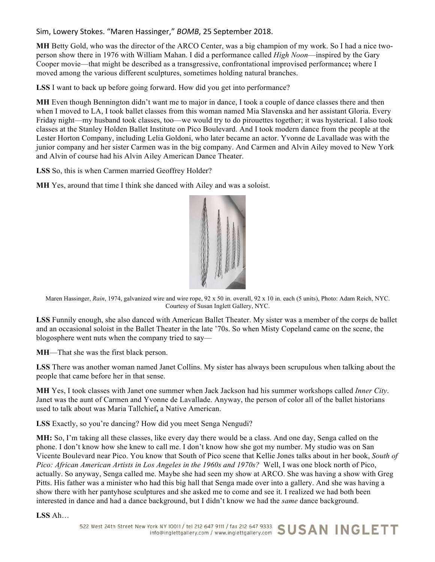**MH** Betty Gold, who was the director of the ARCO Center, was a big champion of my work. So I had a nice twoperson show there in 1976 with William Mahan. I did a performance called *High Noon*—inspired by the Gary Cooper movie—that might be described as a transgressive, confrontational improvised performance**;** where I moved among the various different sculptures, sometimes holding natural branches.

**LSS** I want to back up before going forward. How did you get into performance?

**MH** Even though Bennington didn't want me to major in dance, I took a couple of dance classes there and then when I moved to LA, I took ballet classes from this woman named Mia Slavenska and her assistant Gloria. Every Friday night—my husband took classes, too—we would try to do pirouettes together; it was hysterical. I also took classes at the Stanley Holden Ballet Institute on Pico Boulevard. And I took modern dance from the people at the Lester Horton Company, including Lelia Goldoni, who later became an actor. Yvonne de Lavallade was with the junior company and her sister Carmen was in the big company. And Carmen and Alvin Ailey moved to New York and Alvin of course had his Alvin Ailey American Dance Theater.

**LSS** So, this is when Carmen married Geoffrey Holder?

**MH** Yes, around that time I think she danced with Ailey and was a soloist.



Maren Hassinger, *Rain*, 1974, galvanized wire and wire rope, 92 x 50 in. overall, 92 x 10 in. each (5 units), Photo: Adam Reich, NYC. Courtesy of Susan Inglett Gallery, NYC.

**LSS** Funnily enough, she also danced with American Ballet Theater. My sister was a member of the corps de ballet and an occasional soloist in the Ballet Theater in the late '70s. So when Misty Copeland came on the scene, the blogosphere went nuts when the company tried to say—

**MH**—That she was the first black person.

**LSS** There was another woman named Janet Collins. My sister has always been scrupulous when talking about the people that came before her in that sense.

**MH** Yes, I took classes with Janet one summer when Jack Jackson had his summer workshops called *Inner City*. Janet was the aunt of Carmen and Yvonne de Lavallade. Anyway, the person of color all of the ballet historians used to talk about was Maria Tallchief**,** a Native American.

**LSS** Exactly, so you're dancing? How did you meet Senga Nengudi?

**MH:** So, I'm taking all these classes, like every day there would be a class. And one day, Senga called on the phone. I don't know how she knew to call me. I don't know how she got my number. My studio was on San Vicente Boulevard near Pico. You know that South of Pico scene that Kellie Jones talks about in her book, *South of Pico: African American Artists in Los Angeles in the 1960s and 1970s?* Well, I was one block north of Pico, actually. So anyway, Senga called me. Maybe she had seen my show at ARCO. She was having a show with Greg Pitts. His father was a minister who had this big hall that Senga made over into a gallery. And she was having a show there with her pantyhose sculptures and she asked me to come and see it. I realized we had both been interested in dance and had a dance background, but I didn't know we had the *same* dance background.

**LSS** Ah…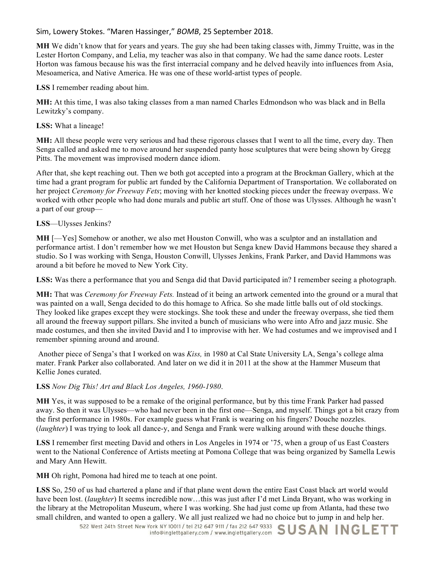**MH** We didn't know that for years and years. The guy she had been taking classes with, Jimmy Truitte, was in the Lester Horton Company, and Lelia, my teacher was also in that company. We had the same dance roots. Lester Horton was famous because his was the first interracial company and he delved heavily into influences from Asia, Mesoamerica, and Native America. He was one of these world-artist types of people.

**LSS** I remember reading about him.

**MH:** At this time, I was also taking classes from a man named Charles Edmondson who was black and in Bella Lewitzky's company.

## **LSS:** What a lineage!

**MH:** All these people were very serious and had these rigorous classes that I went to all the time, every day. Then Senga called and asked me to move around her suspended panty hose sculptures that were being shown by Gregg Pitts. The movement was improvised modern dance idiom.

After that, she kept reaching out. Then we both got accepted into a program at the Brockman Gallery, which at the time had a grant program for public art funded by the California Department of Transportation. We collaborated on her project *Ceremony for Freeway Fets*; moving with her knotted stocking pieces under the freeway overpass. We worked with other people who had done murals and public art stuff. One of those was Ulysses. Although he wasn't a part of our group—

## **LSS**—Ulysses Jenkins?

**MH** [—Yes] Somehow or another, we also met Houston Conwill, who was a sculptor and an installation and performance artist. I don't remember how we met Houston but Senga knew David Hammons because they shared a studio. So I was working with Senga, Houston Conwill, Ulysses Jenkins, Frank Parker, and David Hammons was around a bit before he moved to New York City.

**LSS:** Was there a performance that you and Senga did that David participated in? I remember seeing a photograph.

**MH:** That was *Ceremony for Freeway Fets.* Instead of it being an artwork cemented into the ground or a mural that was painted on a wall, Senga decided to do this homage to Africa. So she made little balls out of old stockings. They looked like grapes except they were stockings. She took these and under the freeway overpass, she tied them all around the freeway support pillars. She invited a bunch of musicians who were into Afro and jazz music. She made costumes, and then she invited David and I to improvise with her. We had costumes and we improvised and I remember spinning around and around.

Another piece of Senga's that I worked on was *Kiss,* in 1980 at Cal State University LA, Senga's college alma mater. Frank Parker also collaborated. And later on we did it in 2011 at the show at the Hammer Museum that Kellie Jones curated.

# **LSS** *Now Dig This! Art and Black Los Angeles, 1960-1980*.

**MH** Yes, it was supposed to be a remake of the original performance, but by this time Frank Parker had passed away. So then it was Ulysses—who had never been in the first one—Senga, and myself. Things got a bit crazy from the first performance in 1980s. For example guess what Frank is wearing on his fingers? Douche nozzles. (*laughter*) I was trying to look all dance-y, and Senga and Frank were walking around with these douche things.

**LSS** I remember first meeting David and others in Los Angeles in 1974 or '75, when a group of us East Coasters went to the National Conference of Artists meeting at Pomona College that was being organized by Samella Lewis and Mary Ann Hewitt.

**MH** Oh right, Pomona had hired me to teach at one point.

**LSS** So, 250 of us had chartered a plane and if that plane went down the entire East Coast black art world would have been lost. (*laughter*) It seems incredible now…this was just after I'd met Linda Bryant, who was working in the library at the Metropolitan Museum, where I was working. She had just come up from Atlanta, had these two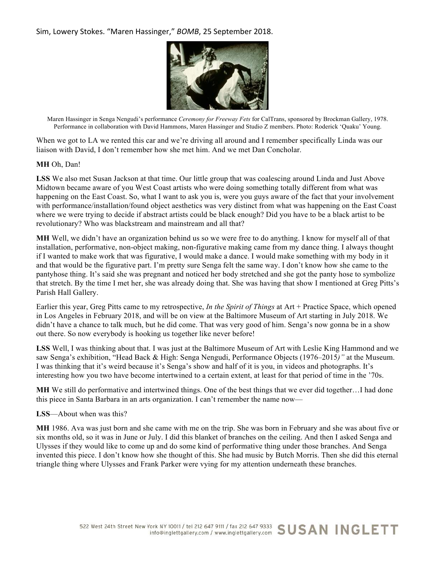

Maren Hassinger in Senga Nengudi's performance *Ceremony for Freeway Fets* for CalTrans, sponsored by Brockman Gallery, 1978. Performance in collaboration with David Hammons, Maren Hassinger and Studio Z members. Photo: Roderick 'Quaku' Young.

When we got to LA we rented this car and we're driving all around and I remember specifically Linda was our liaison with David, I don't remember how she met him. And we met Dan Concholar.

#### **MH** Oh, Dan!

**LSS** We also met Susan Jackson at that time. Our little group that was coalescing around Linda and Just Above Midtown became aware of you West Coast artists who were doing something totally different from what was happening on the East Coast. So, what I want to ask you is, were you guys aware of the fact that your involvement with performance/installation/found object aesthetics was very distinct from what was happening on the East Coast where we were trying to decide if abstract artists could be black enough? Did you have to be a black artist to be revolutionary? Who was blackstream and mainstream and all that?

**MH** Well, we didn't have an organization behind us so we were free to do anything. I know for myself all of that installation, performative, non-object making, non-figurative making came from my dance thing. I always thought if I wanted to make work that was figurative, I would make a dance. I would make something with my body in it and that would be the figurative part. I'm pretty sure Senga felt the same way. I don't know how she came to the pantyhose thing. It's said she was pregnant and noticed her body stretched and she got the panty hose to symbolize that stretch. By the time I met her, she was already doing that. She was having that show I mentioned at Greg Pitts's Parish Hall Gallery.

Earlier this year, Greg Pitts came to my retrospective, *In the Spirit of Things* at Art + Practice Space, which opened in Los Angeles in February 2018, and will be on view at the Baltimore Museum of Art starting in July 2018. We didn't have a chance to talk much, but he did come. That was very good of him. Senga's now gonna be in a show out there. So now everybody is hooking us together like never before!

**LSS** Well, I was thinking about that. I was just at the Baltimore Museum of Art with Leslie King Hammond and we saw Senga's exhibition, "Head Back & High: Senga Nengudi, Performance Objects (1976–2015*)"* at the Museum. I was thinking that it's weird because it's Senga's show and half of it is you, in videos and photographs. It's interesting how you two have become intertwined to a certain extent, at least for that period of time in the '70s.

**MH** We still do performative and intertwined things. One of the best things that we ever did together…I had done this piece in Santa Barbara in an arts organization. I can't remember the name now—

#### **LSS**—About when was this?

**MH** 1986. Ava was just born and she came with me on the trip. She was born in February and she was about five or six months old, so it was in June or July. I did this blanket of branches on the ceiling. And then I asked Senga and Ulysses if they would like to come up and do some kind of performative thing under those branches. And Senga invented this piece. I don't know how she thought of this. She had music by Butch Morris. Then she did this eternal triangle thing where Ulysses and Frank Parker were vying for my attention underneath these branches.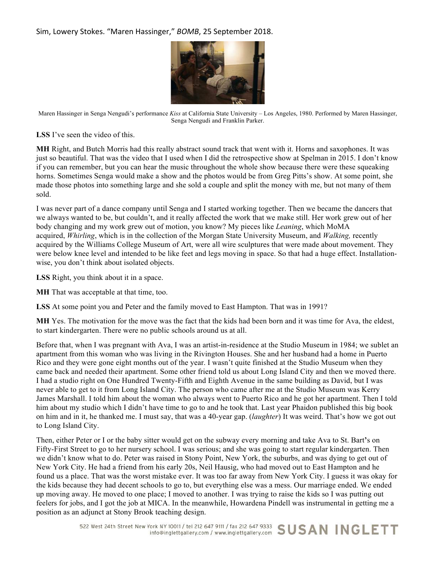

Maren Hassinger in Senga Nengudi's performance *Kiss* at California State University – Los Angeles, 1980. Performed by Maren Hassinger, Senga Nengudi and Franklin Parker.

**LSS** I've seen the video of this.

**MH** Right, and Butch Morris had this really abstract sound track that went with it. Horns and saxophones. It was just so beautiful. That was the video that I used when I did the retrospective show at Spelman in 2015. I don't know if you can remember, but you can hear the music throughout the whole show because there were these squeaking horns. Sometimes Senga would make a show and the photos would be from Greg Pitts's show. At some point, she made those photos into something large and she sold a couple and split the money with me, but not many of them sold.

I was never part of a dance company until Senga and I started working together. Then we became the dancers that we always wanted to be, but couldn't, and it really affected the work that we make still. Her work grew out of her body changing and my work grew out of motion, you know? My pieces like *Leaning*, which MoMA acquired, *Whirling*, which is in the collection of the Morgan State University Museum, and *Walking,* recently acquired by the Williams College Museum of Art, were all wire sculptures that were made about movement. They were below knee level and intended to be like feet and legs moving in space. So that had a huge effect. Installationwise, you don't think about isolated objects.

**LSS** Right, you think about it in a space.

**MH** That was acceptable at that time, too.

**LSS** At some point you and Peter and the family moved to East Hampton. That was in 1991?

**MH** Yes. The motivation for the move was the fact that the kids had been born and it was time for Ava, the eldest, to start kindergarten. There were no public schools around us at all.

Before that, when I was pregnant with Ava, I was an artist-in-residence at the Studio Museum in 1984; we sublet an apartment from this woman who was living in the Rivington Houses. She and her husband had a home in Puerto Rico and they were gone eight months out of the year. I wasn't quite finished at the Studio Museum when they came back and needed their apartment. Some other friend told us about Long Island City and then we moved there. I had a studio right on One Hundred Twenty-Fifth and Eighth Avenue in the same building as David, but I was never able to get to it from Long Island City. The person who came after me at the Studio Museum was Kerry James Marshall. I told him about the woman who always went to Puerto Rico and he got her apartment. Then I told him about my studio which I didn't have time to go to and he took that. Last year Phaidon published this big book on him and in it, he thanked me. I must say, that was a 40-year gap. (*laughter*) It was weird. That's how we got out to Long Island City.

Then, either Peter or I or the baby sitter would get on the subway every morning and take Ava to St. Bart**'**s on Fifty-First Street to go to her nursery school. I was serious; and she was going to start regular kindergarten. Then we didn't know what to do. Peter was raised in Stony Point, New York, the suburbs, and was dying to get out of New York City. He had a friend from his early 20s, Neil Hausig, who had moved out to East Hampton and he found us a place. That was the worst mistake ever. It was too far away from New York City. I guess it was okay for the kids because they had decent schools to go to, but everything else was a mess. Our marriage ended. We ended up moving away. He moved to one place; I moved to another. I was trying to raise the kids so I was putting out feelers for jobs, and I got the job at MICA. In the meanwhile, Howardena Pindell was instrumental in getting me a position as an adjunct at Stony Brook teaching design.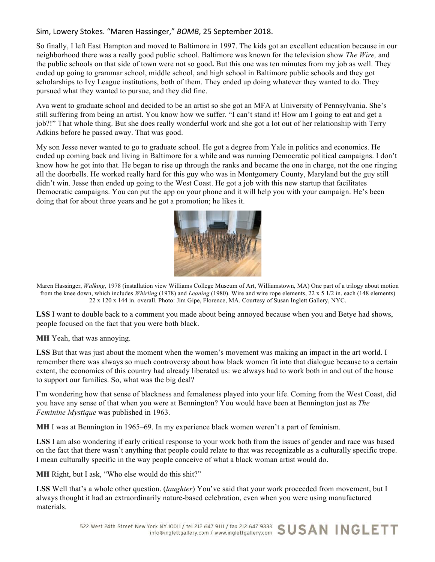So finally, I left East Hampton and moved to Baltimore in 1997. The kids got an excellent education because in our neighborhood there was a really good public school. Baltimore was known for the television show *The Wire,* and the public schools on that side of town were not so good**.** But this one was ten minutes from my job as well. They ended up going to grammar school, middle school, and high school in Baltimore public schools and they got scholarships to Ivy League institutions, both of them. They ended up doing whatever they wanted to do. They pursued what they wanted to pursue, and they did fine.

Ava went to graduate school and decided to be an artist so she got an MFA at University of Pennsylvania. She's still suffering from being an artist. You know how we suffer. "I can't stand it! How am I going to eat and get a job?!" That whole thing. But she does really wonderful work and she got a lot out of her relationship with Terry Adkins before he passed away. That was good.

My son Jesse never wanted to go to graduate school. He got a degree from Yale in politics and economics. He ended up coming back and living in Baltimore for a while and was running Democratic political campaigns. I don't know how he got into that. He began to rise up through the ranks and became the one in charge, not the one ringing all the doorbells. He worked really hard for this guy who was in Montgomery County, Maryland but the guy still didn't win. Jesse then ended up going to the West Coast. He got a job with this new startup that facilitates Democratic campaigns. You can put the app on your phone and it will help you with your campaign. He's been doing that for about three years and he got a promotion; he likes it.



Maren Hassinger, *Walking*, 1978 (installation view Williams College Museum of Art, Williamstown, MA) One part of a trilogy about motion from the knee down, which includes *Whirling* (1978) and *Leaning* (1980). Wire and wire rope elements, 22 x 5 1/2 in. each (148 elements) 22 x 120 x 144 in. overall. Photo: Jim Gipe, Florence, MA. Courtesy of Susan Inglett Gallery, NYC.

**LSS** I want to double back to a comment you made about being annoyed because when you and Betye had shows, people focused on the fact that you were both black.

**MH** Yeah, that was annoying.

**LSS** But that was just about the moment when the women's movement was making an impact in the art world. I remember there was always so much controversy about how black women fit into that dialogue because to a certain extent, the economics of this country had already liberated us: we always had to work both in and out of the house to support our families. So, what was the big deal?

I'm wondering how that sense of blackness and femaleness played into your life. Coming from the West Coast, did you have any sense of that when you were at Bennington? You would have been at Bennington just as *The Feminine Mystique* was published in 1963.

**MH** I was at Bennington in 1965–69. In my experience black women weren't a part of feminism.

**LSS** I am also wondering if early critical response to your work both from the issues of gender and race was based on the fact that there wasn't anything that people could relate to that was recognizable as a culturally specific trope. I mean culturally specific in the way people conceive of what a black woman artist would do.

**MH** Right, but I ask, "Who else would do this shit?"

**LSS** Well that's a whole other question. (*laughter*) You've said that your work proceeded from movement, but I always thought it had an extraordinarily nature-based celebration, even when you were using manufactured materials.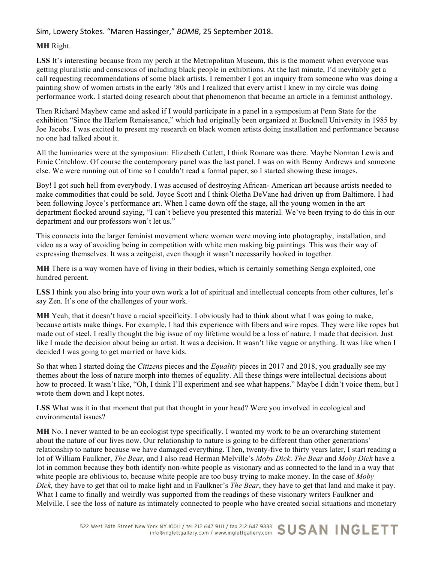#### **MH** Right.

**LSS** It's interesting because from my perch at the Metropolitan Museum, this is the moment when everyone was getting pluralistic and conscious of including black people in exhibitions. At the last minute, I'd inevitably get a call requesting recommendations of some black artists. I remember I got an inquiry from someone who was doing a painting show of women artists in the early '80s and I realized that every artist I knew in my circle was doing performance work. I started doing research about that phenomenon that became an article in a feminist anthology.

Then Richard Mayhew came and asked if I would participate in a panel in a symposium at Penn State for the exhibition "Since the Harlem Renaissance," which had originally been organized at Bucknell University in 1985 by Joe Jacobs. I was excited to present my research on black women artists doing installation and performance because no one had talked about it.

All the luminaries were at the symposium: Elizabeth Catlett, I think Romare was there. Maybe Norman Lewis and Ernie Critchlow. Of course the contemporary panel was the last panel. I was on with Benny Andrews and someone else. We were running out of time so I couldn't read a formal paper, so I started showing these images.

Boy! I got such hell from everybody. I was accused of destroying African- American art because artists needed to make commodities that could be sold. Joyce Scott and I think Oletha DeVane had driven up from Baltimore. I had been following Joyce's performance art. When I came down off the stage, all the young women in the art department flocked around saying, "I can't believe you presented this material. We've been trying to do this in our department and our professors won't let us."

This connects into the larger feminist movement where women were moving into photography, installation, and video as a way of avoiding being in competition with white men making big paintings. This was their way of expressing themselves. It was a zeitgeist, even though it wasn't necessarily hooked in together.

**MH** There is a way women have of living in their bodies, which is certainly something Senga exploited, one hundred percent.

LSS I think you also bring into your own work a lot of spiritual and intellectual concepts from other cultures, let's say Zen. It's one of the challenges of your work.

**MH** Yeah, that it doesn't have a racial specificity. I obviously had to think about what I was going to make, because artists make things. For example, I had this experience with fibers and wire ropes. They were like ropes but made out of steel. I really thought the big issue of my lifetime would be a loss of nature. I made that decision. Just like I made the decision about being an artist. It was a decision. It wasn't like vague or anything. It was like when I decided I was going to get married or have kids.

So that when I started doing the *Citizens* pieces and the *Equality* pieces in 2017 and 2018, you gradually see my themes about the loss of nature morph into themes of equality. All these things were intellectual decisions about how to proceed. It wasn't like, "Oh, I think I'll experiment and see what happens." Maybe I didn't voice them, but I wrote them down and I kept notes.

**LSS** What was it in that moment that put that thought in your head? Were you involved in ecological and environmental issues?

**MH** No. I never wanted to be an ecologist type specifically. I wanted my work to be an overarching statement about the nature of our lives now. Our relationship to nature is going to be different than other generations' relationship to nature because we have damaged everything. Then, twenty-five to thirty years later, I start reading a lot of William Faulkner, *The Bear,* and I also read Herman Melville's *Moby Dick*. *The Bear* and *Moby Dick* have a lot in common because they both identify non-white people as visionary and as connected to the land in a way that white people are oblivious to, because white people are too busy trying to make money. In the case of *Moby Dick,* they have to get that oil to make light and in Faulkner's *The Bear*, they have to get that land and make it pay. What I came to finally and weirdly was supported from the readings of these visionary writers Faulkner and Melville. I see the loss of nature as intimately connected to people who have created social situations and monetary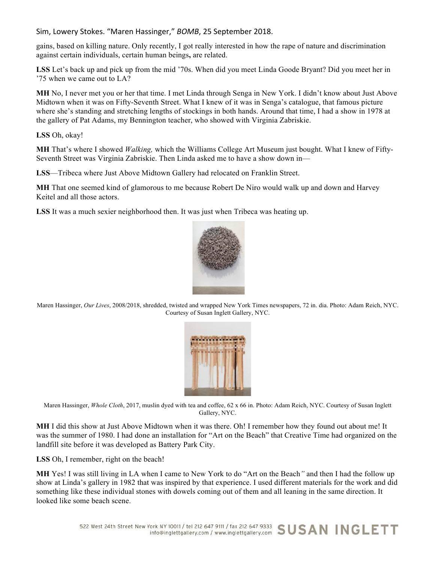gains, based on killing nature. Only recently, I got really interested in how the rape of nature and discrimination against certain individuals, certain human beings**,** are related.

**LSS** Let's back up and pick up from the mid '70s. When did you meet Linda Goode Bryant? Did you meet her in '75 when we came out to LA?

**MH** No, I never met you or her that time. I met Linda through Senga in New York. I didn't know about Just Above Midtown when it was on Fifty-Seventh Street. What I knew of it was in Senga's catalogue, that famous picture where she's standing and stretching lengths of stockings in both hands. Around that time, I had a show in 1978 at the gallery of Pat Adams, my Bennington teacher, who showed with Virginia Zabriskie.

**LSS** Oh, okay!

**MH** That's where I showed *Walking,* which the Williams College Art Museum just bought. What I knew of Fifty-Seventh Street was Virginia Zabriskie. Then Linda asked me to have a show down in—

**LSS**—Tribeca where Just Above Midtown Gallery had relocated on Franklin Street.

**MH** That one seemed kind of glamorous to me because Robert De Niro would walk up and down and Harvey Keitel and all those actors.

**LSS** It was a much sexier neighborhood then. It was just when Tribeca was heating up.



Maren Hassinger, *Our Lives*, 2008/2018, shredded, twisted and wrapped New York Times newspapers, 72 in. dia. Photo: Adam Reich, NYC. Courtesy of Susan Inglett Gallery, NYC.



Maren Hassinger, *Whole Cloth*, 2017, muslin dyed with tea and coffee, 62 x 66 in. Photo: Adam Reich, NYC. Courtesy of Susan Inglett Gallery, NYC.

**MH** I did this show at Just Above Midtown when it was there. Oh! I remember how they found out about me! It was the summer of 1980. I had done an installation for "Art on the Beach" that Creative Time had organized on the landfill site before it was developed as Battery Park City.

**LSS** Oh, I remember, right on the beach!

**MH** Yes! I was still living in LA when I came to New York to do "Art on the Beach*"* and then I had the follow up show at Linda's gallery in 1982 that was inspired by that experience. I used different materials for the work and did something like these individual stones with dowels coming out of them and all leaning in the same direction. It looked like some beach scene.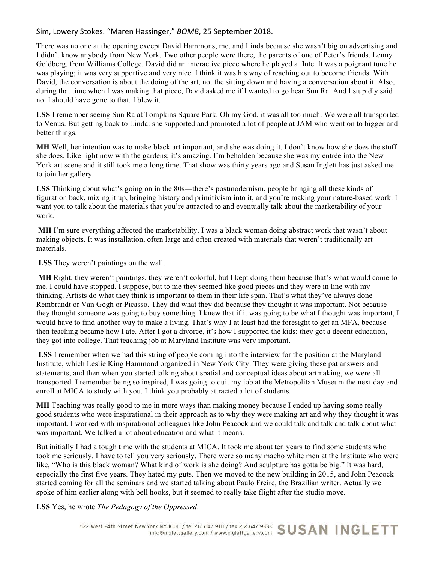There was no one at the opening except David Hammons, me, and Linda because she wasn't big on advertising and I didn't know anybody from New York. Two other people were there, the parents of one of Peter's friends, Lenny Goldberg, from Williams College. David did an interactive piece where he played a flute. It was a poignant tune he was playing; it was very supportive and very nice. I think it was his way of reaching out to become friends. With David, the conversation is about the doing of the art, not the sitting down and having a conversation about it. Also, during that time when I was making that piece, David asked me if I wanted to go hear Sun Ra. And I stupidly said no. I should have gone to that. I blew it.

**LSS** I remember seeing Sun Ra at Tompkins Square Park. Oh my God, it was all too much. We were all transported to Venus. But getting back to Linda: she supported and promoted a lot of people at JAM who went on to bigger and better things.

**MH** Well, her intention was to make black art important, and she was doing it. I don't know how she does the stuff she does. Like right now with the gardens; it's amazing. I'm beholden because she was my entrée into the New York art scene and it still took me a long time. That show was thirty years ago and Susan Inglett has just asked me to join her gallery.

LSS Thinking about what's going on in the 80s—there's postmodernism, people bringing all these kinds of figuration back, mixing it up, bringing history and primitivism into it, and you're making your nature-based work. I want you to talk about the materials that you're attracted to and eventually talk about the marketability of your work.

**MH** I'm sure everything affected the marketability. I was a black woman doing abstract work that wasn't about making objects. It was installation, often large and often created with materials that weren't traditionally art materials.

**LSS** They weren't paintings on the wall.

**MH** Right, they weren't paintings, they weren't colorful, but I kept doing them because that's what would come to me. I could have stopped, I suppose, but to me they seemed like good pieces and they were in line with my thinking. Artists do what they think is important to them in their life span. That's what they've always done— Rembrandt or Van Gogh or Picasso. They did what they did because they thought it was important. Not because they thought someone was going to buy something. I knew that if it was going to be what I thought was important, I would have to find another way to make a living. That's why I at least had the foresight to get an MFA, because then teaching became how I ate. After I got a divorce, it's how I supported the kids: they got a decent education, they got into college. That teaching job at Maryland Institute was very important.

**LSS** I remember when we had this string of people coming into the interview for the position at the Maryland Institute, which Leslie King Hammond organized in New York City. They were giving these pat answers and statements, and then when you started talking about spatial and conceptual ideas about artmaking, we were all transported. I remember being so inspired, I was going to quit my job at the Metropolitan Museum the next day and enroll at MICA to study with you. I think you probably attracted a lot of students.

**MH** Teaching was really good to me in more ways than making money because I ended up having some really good students who were inspirational in their approach as to why they were making art and why they thought it was important. I worked with inspirational colleagues like John Peacock and we could talk and talk and talk about what was important. We talked a lot about education and what it means.

But initially I had a tough time with the students at MICA. It took me about ten years to find some students who took me seriously. I have to tell you very seriously. There were so many macho white men at the Institute who were like, "Who is this black woman? What kind of work is she doing? And sculpture has gotta be big." It was hard, especially the first five years. They hated my guts. Then we moved to the new building in 2015, and John Peacock started coming for all the seminars and we started talking about Paulo Freire, the Brazilian writer. Actually we spoke of him earlier along with bell hooks, but it seemed to really take flight after the studio move.

**LSS** Yes, he wrote *The Pedagogy of the Oppressed*.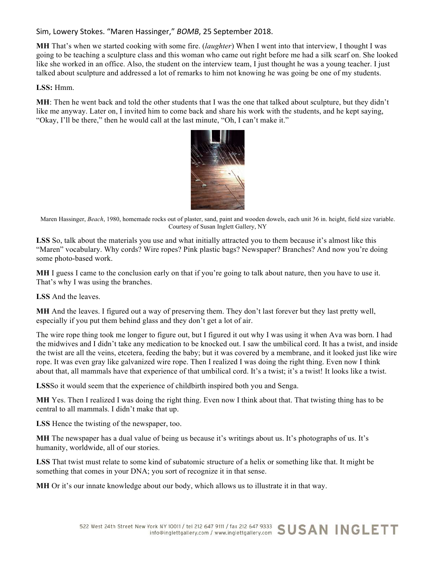**MH** That's when we started cooking with some fire. (*laughter*) When I went into that interview, I thought I was going to be teaching a sculpture class and this woman who came out right before me had a silk scarf on. She looked like she worked in an office. Also, the student on the interview team, I just thought he was a young teacher. I just talked about sculpture and addressed a lot of remarks to him not knowing he was going be one of my students.

**LSS:** Hmm.

**MH**: Then he went back and told the other students that I was the one that talked about sculpture, but they didn't like me anyway. Later on, I invited him to come back and share his work with the students, and he kept saying, "Okay, I'll be there," then he would call at the last minute, "Oh, I can't make it."



Maren Hassinger, *Beach*, 1980, homemade rocks out of plaster, sand, paint and wooden dowels, each unit 36 in. height, field size variable. Courtesy of Susan Inglett Gallery, NY

**LSS** So, talk about the materials you use and what initially attracted you to them because it's almost like this "Maren" vocabulary. Why cords? Wire ropes? Pink plastic bags? Newspaper? Branches? And now you're doing some photo-based work.

**MH** I guess I came to the conclusion early on that if you're going to talk about nature, then you have to use it. That's why I was using the branches.

**LSS** And the leaves.

**MH** And the leaves. I figured out a way of preserving them. They don't last forever but they last pretty well, especially if you put them behind glass and they don't get a lot of air.

The wire rope thing took me longer to figure out, but I figured it out why I was using it when Ava was born. I had the midwives and I didn't take any medication to be knocked out. I saw the umbilical cord. It has a twist, and inside the twist are all the veins, etcetera, feeding the baby; but it was covered by a membrane, and it looked just like wire rope. It was even gray like galvanized wire rope. Then I realized I was doing the right thing. Even now I think about that, all mammals have that experience of that umbilical cord. It's a twist; it's a twist! It looks like a twist.

**LSS**So it would seem that the experience of childbirth inspired both you and Senga.

**MH** Yes. Then I realized I was doing the right thing. Even now I think about that. That twisting thing has to be central to all mammals. I didn't make that up.

**LSS** Hence the twisting of the newspaper, too.

**MH** The newspaper has a dual value of being us because it's writings about us. It's photographs of us. It's humanity, worldwide, all of our stories.

**LSS** That twist must relate to some kind of subatomic structure of a helix or something like that. It might be something that comes in your DNA; you sort of recognize it in that sense.

**MH** Or it's our innate knowledge about our body, which allows us to illustrate it in that way.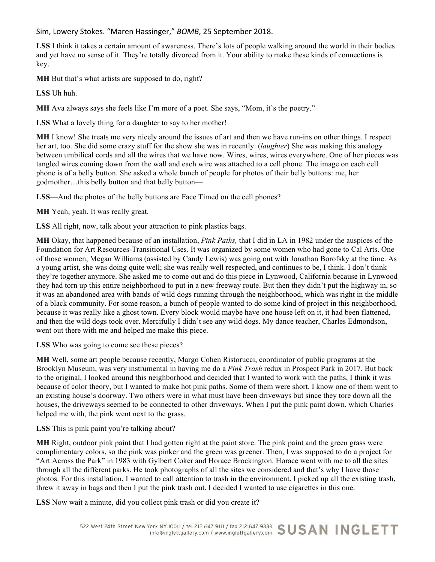**LSS** I think it takes a certain amount of awareness. There's lots of people walking around the world in their bodies and yet have no sense of it. They're totally divorced from it. Your ability to make these kinds of connections is key.

**MH** But that's what artists are supposed to do, right?

**LSS** Uh huh.

**MH** Ava always says she feels like I'm more of a poet. She says, "Mom, it's the poetry."

**LSS** What a lovely thing for a daughter to say to her mother!

**MH** I know! She treats me very nicely around the issues of art and then we have run-ins on other things. I respect her art, too. She did some crazy stuff for the show she was in recently. (*laughter*) She was making this analogy between umbilical cords and all the wires that we have now. Wires, wires, wires everywhere. One of her pieces was tangled wires coming down from the wall and each wire was attached to a cell phone. The image on each cell phone is of a belly button. She asked a whole bunch of people for photos of their belly buttons: me, her godmother…this belly button and that belly button—

**LSS**—And the photos of the belly buttons are Face Timed on the cell phones?

**MH** Yeah, yeah. It was really great.

**LSS** All right, now, talk about your attraction to pink plastics bags.

**MH** Okay, that happened because of an installation, *Pink Paths,* that I did in LA in 1982 under the auspices of the Foundation for Art Resources-Transitional Uses. It was organized by some women who had gone to Cal Arts. One of those women, Megan Williams (assisted by Candy Lewis) was going out with Jonathan Borofsky at the time. As a young artist, she was doing quite well; she was really well respected, and continues to be, I think. I don't think they're together anymore. She asked me to come out and do this piece in Lynwood, California because in Lynwood they had torn up this entire neighborhood to put in a new freeway route. But then they didn't put the highway in, so it was an abandoned area with bands of wild dogs running through the neighborhood, which was right in the middle of a black community. For some reason, a bunch of people wanted to do some kind of project in this neighborhood, because it was really like a ghost town. Every block would maybe have one house left on it, it had been flattened, and then the wild dogs took over. Mercifully I didn't see any wild dogs. My dance teacher, Charles Edmondson, went out there with me and helped me make this piece.

**LSS** Who was going to come see these pieces?

**MH** Well, some art people because recently, Margo Cohen Ristorucci, coordinator of public programs at the Brooklyn Museum, was very instrumental in having me do a *Pink Trash* redux in Prospect Park in 2017. But back to the original, I looked around this neighborhood and decided that I wanted to work with the paths, I think it was because of color theory, but I wanted to make hot pink paths. Some of them were short. I know one of them went to an existing house's doorway. Two others were in what must have been driveways but since they tore down all the houses, the driveways seemed to be connected to other driveways. When I put the pink paint down, which Charles helped me with, the pink went next to the grass.

**LSS** This is pink paint you're talking about?

**MH** Right, outdoor pink paint that I had gotten right at the paint store. The pink paint and the green grass were complimentary colors, so the pink was pinker and the green was greener. Then, I was supposed to do a project for "Art Across the Park" in 1983 with Gylbert Coker and Horace Brockington. Horace went with me to all the sites through all the different parks. He took photographs of all the sites we considered and that's why I have those photos. For this installation, I wanted to call attention to trash in the environment. I picked up all the existing trash, threw it away in bags and then I put the pink trash out. I decided I wanted to use cigarettes in this one.

**LSS** Now wait a minute, did you collect pink trash or did you create it?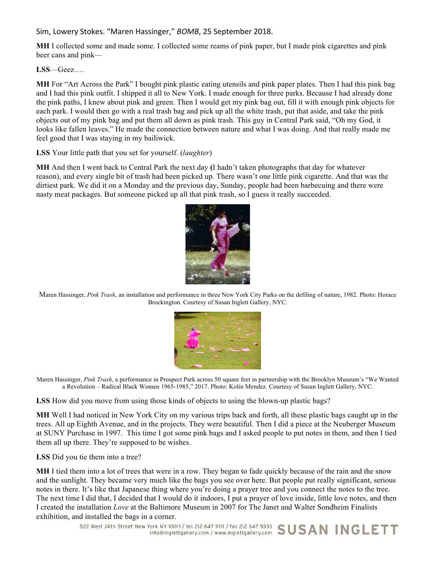**MH** I collected some and made some. I collected some reams of pink paper, but I made pink cigarettes and pink beer cans and pink—

**LSS**—Geez….

**MH** For "Art Across the Park" I bought pink plastic eating utensils and pink paper plates. Then I had this pink bag and I had this pink outfit. I shipped it all to New York. I made enough for three parks. Because I had already done the pink paths, I knew about pink and green. Then I would get my pink bag out, fill it with enough pink objects for each park. I would then go with a real trash bag and pick up all the white trash, put that aside, and take the pink objects out of my pink bag and put them all down as pink trash. This guy in Central Park said, "Oh my God, it looks like fallen leaves." He made the connection between nature and what I was doing. And that really made me feel good that I was staying in my bailiwick.

**LSS** Your little path that you set for yourself. (*laughter*)

**MH** And then I went back to Central Park the next day **(**I hadn't taken photographs that day for whatever reason), and every single bit of trash had been picked up. There wasn't one little pink cigarette. And that was the dirtiest park. We did it on a Monday and the previous day, Sunday, people had been barbecuing and there were nasty meat packages. But someone picked up all that pink trash, so I guess it really succeeded.



Maren Hassinger, *Pink Trash*, an installation and performance in three New York City Parks on the defiling of nature, 1982. Photo: Horace Brockington. Courtesy of Susan Inglett Gallery, NYC.



Maren Hassinger, *Pink Trash*, a performance in Prospect Park across 50 square feet in partnership with the Brooklyn Museum's "We Wanted a Revolution – Radical Black Women 1965-1985," 2017. Photo: Kolin Mendez. Courtesy of Susan Inglett Gallery, NYC.

**LSS** How did you move from using those kinds of objects to using the blown-up plastic bags?

**MH** Well I had noticed in New York City on my various trips back and forth, all these plastic bags caught up in the trees. All up Eighth Avenue, and in the projects. They were beautiful. Then I did a piece at the Neuberger Museum at SUNY Purchase in 1997. This time I got some pink bags and I asked people to put notes in them, and then I tied them all up there. They're supposed to be wishes.

**LSS** Did you tie them into a tree?

**MH** I tied them into a lot of trees that were in a row. They began to fade quickly because of the rain and the snow and the sunlight. They became very much like the bags you see over here. But people put really significant, serious notes in there. It's like that Japanese thing where you're doing a prayer tree and you connect the notes to the tree. The next time I did that, I decided that I would do it indoors, I put a prayer of love inside, little love notes, and then I created the installation *Love* at the Baltimore Museum in 2007 for The Janet and Walter Sondheim Finalists exhibition, and installed the bags in a corner.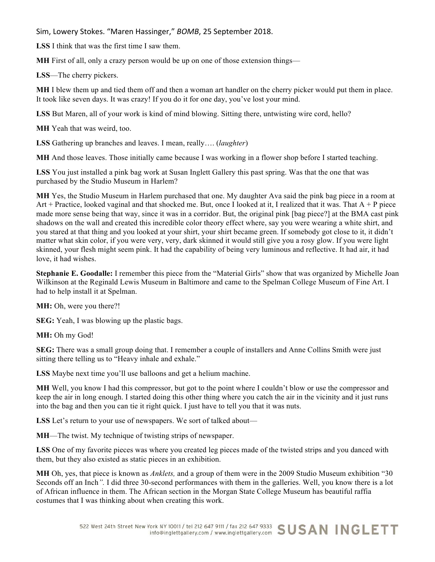**LSS** I think that was the first time I saw them.

**MH** First of all, only a crazy person would be up on one of those extension things—

**LSS**—The cherry pickers.

**MH** I blew them up and tied them off and then a woman art handler on the cherry picker would put them in place. It took like seven days. It was crazy! If you do it for one day, you've lost your mind.

**LSS** But Maren, all of your work is kind of mind blowing. Sitting there, untwisting wire cord, hello?

**MH** Yeah that was weird, too.

**LSS** Gathering up branches and leaves. I mean, really…. (*laughter*)

**MH** And those leaves. Those initially came because I was working in a flower shop before I started teaching.

**LSS** You just installed a pink bag work at Susan Inglett Gallery this past spring. Was that the one that was purchased by the Studio Museum in Harlem?

**MH** Yes, the Studio Museum in Harlem purchased that one. My daughter Ava said the pink bag piece in a room at Art + Practice, looked vaginal and that shocked me. But, once I looked at it, I realized that it was. That  $A + P$  piece made more sense being that way, since it was in a corridor. But, the original pink [bag piece?] at the BMA cast pink shadows on the wall and created this incredible color theory effect where, say you were wearing a white shirt, and you stared at that thing and you looked at your shirt, your shirt became green. If somebody got close to it, it didn't matter what skin color, if you were very, very, dark skinned it would still give you a rosy glow. If you were light skinned, your flesh might seem pink. It had the capability of being very luminous and reflective. It had air, it had love, it had wishes.

**Stephanie E. Goodalle:** I remember this piece from the "Material Girls" show that was organized by Michelle Joan Wilkinson at the Reginald Lewis Museum in Baltimore and came to the Spelman College Museum of Fine Art. I had to help install it at Spelman.

**MH:** Oh, were you there?!

**SEG:** Yeah, I was blowing up the plastic bags.

**MH:** Oh my God!

**SEG:** There was a small group doing that. I remember a couple of installers and Anne Collins Smith were just sitting there telling us to "Heavy inhale and exhale."

**LSS** Maybe next time you'll use balloons and get a helium machine.

**MH** Well, you know I had this compressor, but got to the point where I couldn't blow or use the compressor and keep the air in long enough. I started doing this other thing where you catch the air in the vicinity and it just runs into the bag and then you can tie it right quick. I just have to tell you that it was nuts.

**LSS** Let's return to your use of newspapers. We sort of talked about—

**MH**—The twist. My technique of twisting strips of newspaper.

**LSS** One of my favorite pieces was where you created leg pieces made of the twisted strips and you danced with them, but they also existed as static pieces in an exhibition.

**MH** Oh, yes, that piece is known as *Anklets,* and a group of them were in the 2009 Studio Museum exhibition "30 Seconds off an Inch*".* I did three 30-second performances with them in the galleries. Well, you know there is a lot of African influence in them. The African section in the Morgan State College Museum has beautiful raffia costumes that I was thinking about when creating this work.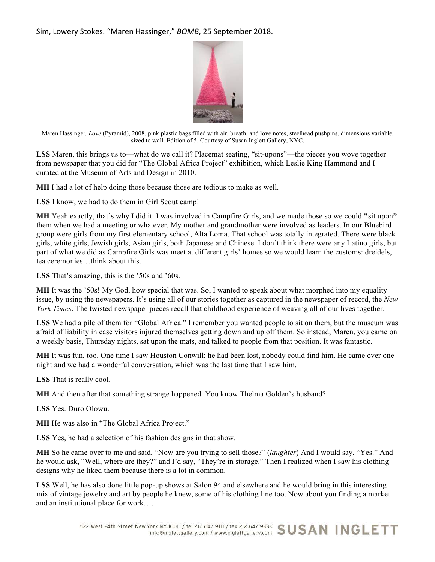

Maren Hassinger*, Love* (Pyramid), 2008, pink plastic bags filled with air, breath, and love notes, steelhead pushpins, dimensions variable, sized to wall. Edition of 5. Courtesy of Susan Inglett Gallery, NYC.

LSS Maren, this brings us to—what do we call it? Placemat seating, "sit-upons"—the pieces you wove together from newspaper that you did for "The Global Africa Project" exhibition, which Leslie King Hammond and I curated at the Museum of Arts and Design in 2010.

**MH** I had a lot of help doing those because those are tedious to make as well.

**LSS** I know, we had to do them in Girl Scout camp!

**MH** Yeah exactly, that's why I did it. I was involved in Campfire Girls, and we made those so we could **"**sit upon**"** them when we had a meeting or whatever. My mother and grandmother were involved as leaders. In our Bluebird group were girls from my first elementary school, Alta Loma. That school was totally integrated. There were black girls, white girls, Jewish girls, Asian girls, both Japanese and Chinese. I don't think there were any Latino girls, but part of what we did as Campfire Girls was meet at different girls' homes so we would learn the customs: dreidels, tea ceremonies…think about this.

**LSS** That's amazing, this is the '50s and '60s.

**MH** It was the '50s! My God, how special that was. So, I wanted to speak about what morphed into my equality issue, by using the newspapers. It's using all of our stories together as captured in the newspaper of record, the *New York Times*. The twisted newspaper pieces recall that childhood experience of weaving all of our lives together.

**LSS** We had a pile of them for "Global Africa." I remember you wanted people to sit on them, but the museum was afraid of liability in case visitors injured themselves getting down and up off them. So instead, Maren, you came on a weekly basis, Thursday nights, sat upon the mats, and talked to people from that position. It was fantastic.

**MH** It was fun, too. One time I saw Houston Conwill; he had been lost, nobody could find him. He came over one night and we had a wonderful conversation, which was the last time that I saw him.

**LSS** That is really cool.

**MH** And then after that something strange happened. You know Thelma Golden's husband?

**LSS** Yes. Duro Olowu.

**MH** He was also in "The Global Africa Project."

**LSS** Yes, he had a selection of his fashion designs in that show.

**MH** So he came over to me and said, "Now are you trying to sell those?" (*laughter*) And I would say, "Yes." And he would ask, "Well, where are they?" and I'd say, "They're in storage." Then I realized when I saw his clothing designs why he liked them because there is a lot in common.

**LSS** Well, he has also done little pop-up shows at Salon 94 and elsewhere and he would bring in this interesting mix of vintage jewelry and art by people he knew, some of his clothing line too. Now about you finding a market and an institutional place for work….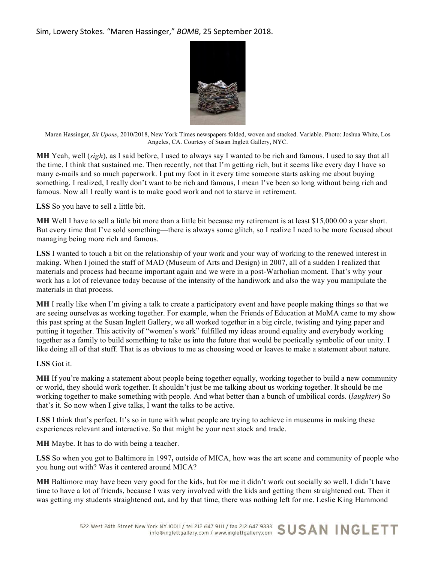

Maren Hassinger, *Sit Upons*, 2010/2018, New York Times newspapers folded, woven and stacked. Variable. Photo: Joshua White, Los Angeles, CA. Courtesy of Susan Inglett Gallery, NYC.

**MH** Yeah, well (*sigh*), as I said before, I used to always say I wanted to be rich and famous. I used to say that all the time. I think that sustained me. Then recently, not that I'm getting rich, but it seems like every day I have so many e-mails and so much paperwork. I put my foot in it every time someone starts asking me about buying something. I realized, I really don't want to be rich and famous, I mean I've been so long without being rich and famous. Now all I really want is to make good work and not to starve in retirement.

## **LSS** So you have to sell a little bit.

**MH** Well I have to sell a little bit more than a little bit because my retirement is at least \$15,000.00 a year short. But every time that I've sold something—there is always some glitch, so I realize I need to be more focused about managing being more rich and famous.

**LSS** I wanted to touch a bit on the relationship of your work and your way of working to the renewed interest in making. When I joined the staff of MAD (Museum of Arts and Design) in 2007, all of a sudden I realized that materials and process had became important again and we were in a post-Warholian moment. That's why your work has a lot of relevance today because of the intensity of the handiwork and also the way you manipulate the materials in that process.

**MH** I really like when I'm giving a talk to create a participatory event and have people making things so that we are seeing ourselves as working together. For example, when the Friends of Education at MoMA came to my show this past spring at the Susan Inglett Gallery, we all worked together in a big circle, twisting and tying paper and putting it together. This activity of "women's work" fulfilled my ideas around equality and everybody working together as a family to build something to take us into the future that would be poetically symbolic of our unity. I like doing all of that stuff. That is as obvious to me as choosing wood or leaves to make a statement about nature.

#### **LSS** Got it.

**MH** If you're making a statement about people being together equally, working together to build a new community or world, they should work together. It shouldn't just be me talking about us working together. It should be me working together to make something with people. And what better than a bunch of umbilical cords. (*laughter*) So that's it. So now when I give talks, I want the talks to be active.

LSS I think that's perfect. It's so in tune with what people are trying to achieve in museums in making these experiences relevant and interactive. So that might be your next stock and trade.

**MH** Maybe. It has to do with being a teacher.

**LSS** So when you got to Baltimore in 1997**,** outside of MICA, how was the art scene and community of people who you hung out with? Was it centered around MICA?

**MH** Baltimore may have been very good for the kids, but for me it didn't work out socially so well. I didn't have time to have a lot of friends, because I was very involved with the kids and getting them straightened out. Then it was getting my students straightened out, and by that time, there was nothing left for me. Leslie King Hammond